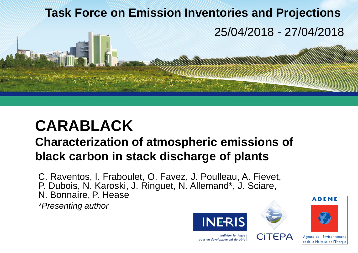# **Task Force on Emission Inventories and Projections**  25/04/2018 - 27/04/2018

# **CARABLACK**

# **Characterization of atmospheric emissions of black carbon in stack discharge of plants**

C. Raventos, I. Fraboulet, O. Favez, J. Poulleau, A. Fievet, P. Dubois, N. Karoski, J. Ringuet, N. Allemand\*, J. Sciare, N. Bonnaire, P. Hease

*\*Presenting author*







maîtriser le risque pour un développement durable

et de la Maîtrise de l'Energie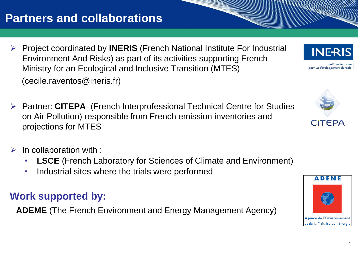# **Partners and collaborations**

- ➢ Project coordinated by **INERIS** (French National Institute For Industrial Environment And Risks) as part of its activities supporting French Ministry for an Ecological and Inclusive Transition (MTES) (cecile.raventos@ineris.fr)
- ➢ Partner: **CITEPA** (French Interprofessional Technical Centre for Studies on Air Pollution) responsible from French emission inventories and projections for MTES
- $\triangleright$  In collaboration with :
	- **LSCE** (French Laboratory for Sciences of Climate and Environment)
	- Industrial sites where the trials were performed

## **Work supported by:**

**ADEME** (The French Environment and Energy Management Agency)









pour un développement durable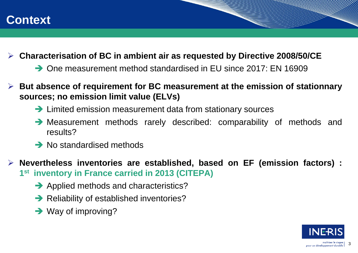

#### ➢ **Characterisation of BC in ambient air as requested by Directive 2008/50/CE**

- **→ One measurement method standardised in FU since 2017: FN 16909**
- ➢ **But absence of requirement for BC measurement at the emission of stationnary sources; no emission limit value (ELVs)**
	- → Limited emission measurement data from stationary sources
	- Measurement methods rarely described: comparability of methods and results?
	- $\rightarrow$  No standardised methods

➢ **Nevertheless inventories are established, based on EF (emission factors) : 1 st inventory in France carried in 2013 (CITEPA)**

- Applied methods and characteristics?
- $\rightarrow$  Reliability of established inventories?
- $\rightarrow$  Way of improving?



and de la découvrier de la découvrier de la découvrier de la découvrier de la découvrier de la découvrier de l<br>Les découvriers de la découvrier de la découvrier de la découvrier de la découvrier de la découvrier de la déc

3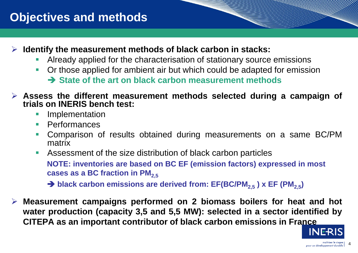# **Objectives and methods**

- ➢ **Identify the measurement methods of black carbon in stacks:**
	- Already applied for the characterisation of stationary source emissions
	- Or those applied for ambient air but which could be adapted for emission

**State of the art on black carbon measurement methods**

- ➢ **Assess the different measurement methods selected during a campaign of trials on INERIS bench test:**
	- **E** Implementation
	- Performances
	- **Comparison of results obtained during measurements on a same BC/PM** matrix

■ Assessment of the size distribution of black carbon particles **NOTE: inventories are based on BC EF (emission factors) expressed in most cases as a BC fraction in PM2,5**

 $→$  **black carbon emissions are derived from: EF(BC/PM<sub>2.5</sub>) x EF (PM<sub>2.5</sub>)** 

➢ **Measurement campaigns performed on 2 biomass boilers for heat and hot water production (capacity 3,5 and 5,5 MW): selected in a sector identified by CITEPA as an important contributor of black carbon emissions in France**



and de la découvrier de la découvrier de la découvrier de la découvrier de la découvrier de la découvrier de l<br>Les découvriers de la découvrier de la découvrier de la découvrier de la découvrier de la découvrier de la déco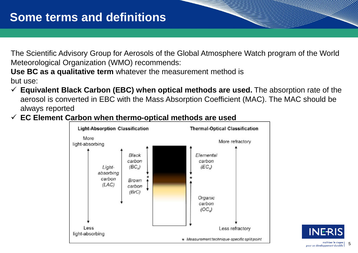The Scientific Advisory Group for Aerosols of the Global Atmosphere Watch program of the World Meteorological Organization (WMO) recommends:

**Use BC as a qualitative term** whatever the measurement method is but use:

- ✓ **Equivalent Black Carbon (EBC) when optical methods are used.** The absorption rate of the aerosol is converted in EBC with the Mass Absorption Coefficient (MAC). The MAC should be always reported
- ✓ **EC Element Carbon when thermo-optical methods are used**



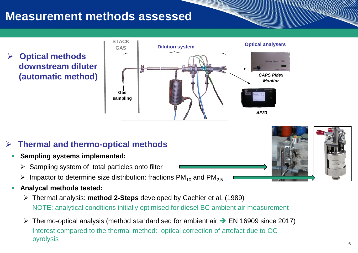# **Measurement methods assessed**

➢ **Optical methods downstream diluter (automatic method)**



### ➢ **Thermal and thermo-optical methods**

- **Sampling systems implemented:** 
	- $\triangleright$  Sampling system of total particles onto filter
	- $\triangleright$  Impactor to determine size distribution: fractions PM<sub>10</sub> and PM<sub>2.5</sub>
- **Analycal methods tested:** 
	- ➢ Thermal analysis: **method 2-Steps** developed by Cachier et al. (1989) NOTE: analytical conditions initially optimised for diesel BC ambient air measurement
	- $\triangleright$  Thermo-optical analysis (method standardised for ambient air  $\rightarrow$  EN 16909 since 2017) Interest compared to the thermal method: optical correction of artefact due to OC pyrolysis

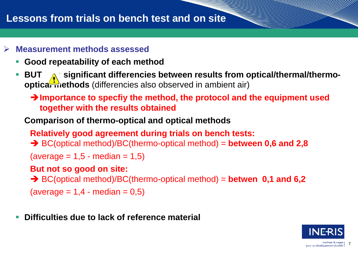## **Lessons from trials on bench test and on site**

#### ➢ **Measurement methods assessed**

- **Good repeatability of each method**
- **BUT** is ignificant differencies between results from optical/thermal/thermo**optical methods** (differencies also observed in ambient air)
	- **Importance to specfiy the method, the protocol and the equipment used together with the results obtained**

#### **Comparison of thermo-optical and optical methods**

**Relatively good agreement during trials on bench tests:** 

BC(optical method)/BC(thermo-optical method) = **between 0,6 and 2,8** 

 $(average = 1.5 - median = 1.5)$ 

#### **But not so good on site:**

BC(optical method)/BC(thermo-optical method) = **betwen 0,1 and 6,2** 

 $(average = 1, 4 - median = 0, 5)$ 

**Difficulties due to lack of reference material** 

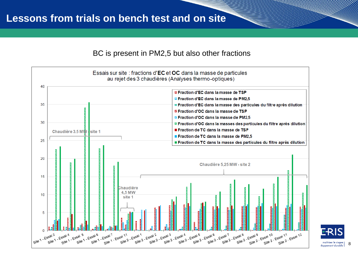#### BC is present in PM2,5 but also other fractions



maîtriser le risa 8 loppement durable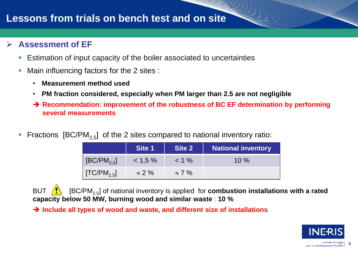## **Lessons from trials on bench test and on site**

#### ➢ **Assessment of EF**

- Estimation of input capacity of the boiler associated to uncertainties
- Main influencing factors for the 2 sites :
	- **Measurement method used**
	- **PM fraction considered, especially when PM larger than 2.5 are not negligible**
	- **→ Recommendation: improvement of the robustness of BC EF determination by performing several measurements**
- Fractions  $[BC/PM_{2.5}]$  of the 2 sites compared to national inventory ratio:

|                         | Site 1        | Site 2        | <b>National inventory</b> |
|-------------------------|---------------|---------------|---------------------------|
| $[BC/PM_{2.5}]$         | $< 1.5 \%$    | $< 1\%$       | $10\%$                    |
| [TC/PM <sub>2.5</sub> ] | $\approx$ 2 % | $\approx$ 7 % |                           |

BUT  $\sqrt{\frac{1}{2}}$  [BC/PM<sub>2.5</sub>] of national inventory is applied for **combustion installations with a rated capacity below 50 MW, burning wood and similar waste** : **10 %**

→ Include all types of wood and waste, and different size of installations



9